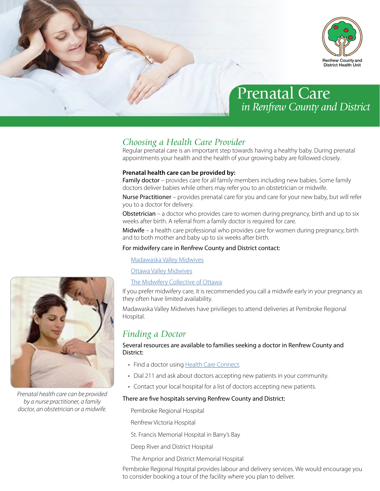

# Prenatal Care *in Renfrew County and District*

# *Choosing a Health Care Provider*

Regular prenatal care is an important step towards having a healthy baby. During prenatal appointments your health and the health of your growing baby are followed closely.

# **Prenatal health care can be provided by:**

Family doctor - provides care for all family members including new babies. Some family doctors deliver babies while others may refer you to an obstetrician or midwife.

Nurse Practitioner – provides prenatal care for you and care for your new baby, but will refer you to a doctor for delivery.

Obstetrician – a doctor who provides care to women during pregnancy, birth and up to six weeks after birth. A referral from a family doctor is required for care.

Midwife – a health care professional who provides care for women during pregnancy, birth and to both mother and baby up to six weeks after birth.

## For midwifery care in Renfrew County and District contact:

[Madawaska Valley Midwives](http://www.mvmidwives.ca/)

[Ottawa Valley Midwives](http://ottawavalleymidwives.com/)

[The Midwifery Collective of Ottawa](http://www.midwiferycollective.com/index.html)

If you prefer midwifery care, it is recommended you call a midwife early in your pregnancy as they often have limited availability.

Madawaska Valley Midwives have privilieges to attend deliveries at Pembroke Regional Hospital.

# *Finding a Doctor*

Several resources are available to families seeking a doctor in Renfrew County and District:

- Find a doctor using [Health Care Connect](http://www.ontario.ca/page/find-family-doctor-or-nurse-practitioner).
- Dial 211 and ask about doctors accepting new patients in your community.
- Contact your local hospital for a list of doctors accepting new patients.

## There are five hospitals serving Renfrew County and District:

Pembroke Regional Hospital

Renfrew Victoria Hospital

St. Francis Memorial Hospital in Barry's Bay

Deep River and District Hospital

The Arnprior and District Memorial Hospital

Pembroke Regional Hospital provides labour and delivery services. We would encourage you to consider booking a tour of the facility where you plan to deliver.



*Prenatal health care can be provided by a nurse practitioner, a family doctor, an obstetrician or a midwife.*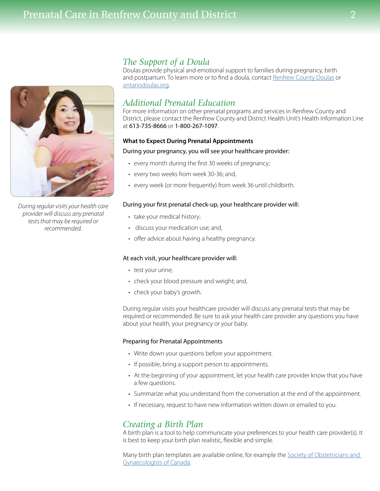# Prenatal Care in Renfrew County and District 2



*During regular visits your health care provider will discuss any prenatal tests that may be required or recommended.*

# *The Support of a Doula*

Doulas provide physical and emotional support to families during pregnancy, birth and postpartum. To learn more or to find a doula, contact [Renfrew County Doulas](https://renfrewcountydoulas.wordpress.com/) or [ontariodoulas.org.](http://ontariodoulas.org/)

# *Additional Prenatal Education*

For more information on other prenatal programs and services in Renfrew County and District, please contact the Renfrew County and District Health Unit's Health Information Line at 613-735-8666 or 1-800-267-1097.

## **What to Expect During Prenatal Appointments**

## During your pregnancy, you will see your healthcare provider:

- every month during the first 30 weeks of pregnancy;
- every two weeks from week 30-36; and,
- every week (or more frequently) from week 36 until childbirth.

### During your first prenatal check-up, your healthcare provider will:

- take your medical history;
- discuss your medication use; and,
- offer advice about having a healthy pregnancy.

### At each visit, your healthcare provider will:

- test your urine;
- check your blood pressure and weight; and,
- check your baby's growth.

During regular visits your healthcare provider will discuss any prenatal tests that may be required or recommended. Be sure to ask your health care provider any questions you have about your health, your pregnancy or your baby.

### Preparing for Prenatal Appointments

- Write down your questions before your appointment.
- If possible, bring a support person to appointments.
- At the beginning of your appointment, let your health care provider know that you have a few questions.
- Summarize what you understand from the conversation at the end of the appointment.
- If necessary, request to have new information written down or emailed to you.

# *Creating a Birth Plan*

A birth plan is a tool to help communicate your preferences to your health care provider(s). It is best to keep your birth plan realistic, flexible and simple.

Many birth plan templates are available online, for example the [Society of Obstetricians and](http://sogc.org/publications/birth-plan/)  [Gynaecologists of Canada](http://sogc.org/publications/birth-plan/).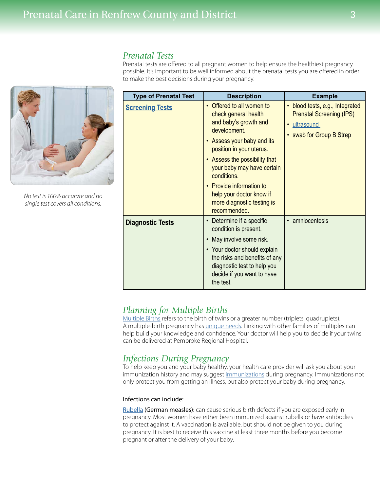# *Prenatal Tests*

Prenatal tests are offered to all pregnant women to help ensure the healthiest pregnancy possible. It's important to be well informed about the prenatal tests you are offered in order to make the best decisions during your pregnancy.

| <b>Type of Prenatal Test</b> | <b>Description</b>                                                                                                                                                                                                                                                                                                                                           | <b>Example</b>                                                                                                 |
|------------------------------|--------------------------------------------------------------------------------------------------------------------------------------------------------------------------------------------------------------------------------------------------------------------------------------------------------------------------------------------------------------|----------------------------------------------------------------------------------------------------------------|
| <b>Screening Tests</b>       | Offered to all women to<br>$\bullet$<br>check general health<br>and baby's growth and<br>development.<br>Assess your baby and its<br>position in your uterus.<br>Assess the possibility that<br>$\bullet$<br>your baby may have certain<br>conditions.<br>• Provide information to<br>help your doctor know if<br>more diagnostic testing is<br>recommended. | • blood tests, e.g., Integrated<br><b>Prenatal Screening (IPS)</b><br>· ultrasound<br>• swab for Group B Strep |
| <b>Diagnostic Tests</b>      | Determine if a specific<br>$\bullet$<br>condition is present.<br>May involve some risk.<br>$\bullet$<br>• Your doctor should explain<br>the risks and benefits of any<br>diagnostic test to help you<br>decide if you want to have<br>the test.                                                                                                              | • amniocentesis                                                                                                |

# *Planning for Multiple Births*

[Multiple Births](http://www.multiplebirthscanada.org/) refers to the birth of twins or a greater number (triplets, quadruplets). A multiple-birth pregnancy has *unique needs*. Linking with other families of multiples can help build your knowledge and confidence. Your doctor will help you to decide if your twins can be delivered at Pembroke Regional Hospital.

# *Infections During Pregnancy*

To help keep you and your baby healthy, your health care provider will ask you about your immunization history and may suggest [immunizations](pregnancy.sogc.org/wp-content/uploads/2014/05/PDF_immunization_ENG.pdf) during pregnancy. Immunizations not only protect you from getting an illness, but also protect your baby during pregnancy.

## Infections can include:

[Rubella](http://www.caringforkids.cps.ca/handouts/rubella_in_pregnancy) (German measles): can cause serious birth defects if you are exposed early in pregnancy. Most women have either been immunized against rubella or have antibodies to protect against it. A vaccination is available, but should not be given to you during pregnancy. It is best to receive this vaccine at least three months before you become pregnant or after the delivery of your baby.



*No test is 100% accurate and no single test covers all conditions.*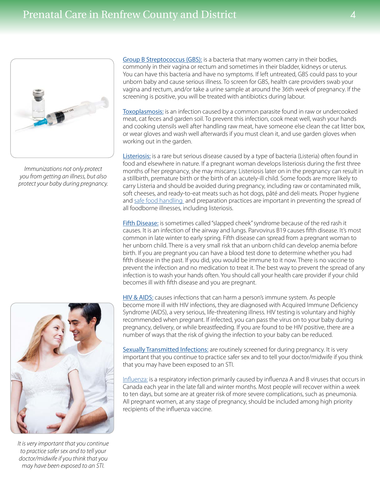

*Immunizations not only protect you from getting an illness, but also protect your baby during pregnancy.*  [Group B Streptococcus \(GBS\):](http://pregnancy.sogc.org/wp-content/uploads/2014/05/PDF_groupbstreptococcusinfection_ENG.pdf) is a bacteria that many women carry in their bodies, commonly in their vagina or rectum and sometimes in their bladder, kidneys or uterus. You can have this bacteria and have no symptoms. If left untreated, GBS could pass to your unborn baby and cause serious illness. To screen for GBS, health care providers swab your vagina and rectum, and/or take a urine sample at around the 36th week of pregnancy. If the screening is positive, you will be treated with antibiotics during labour.

[Toxoplasmosis:](http://www.aboutkidshealth.ca/En/ResourceCentres/PregnancyBabies/Pregnancy/PregnancyComplications/Pages/Other-Infections-in-Pregnancy.aspx) is an infection caused by a common parasite found in raw or undercooked meat, cat feces and garden soil. To prevent this infection, cook meat well, wash your hands and cooking utensils well after handling raw meat, have someone else clean the cat litter box, or wear gloves and wash well afterwards if you must clean it, and use garden gloves when working out in the garden.

[Listeriosis:](http://www.phac-aspc.gc.ca/fs-sa/fs-fi/listerios-eng.php) is a rare but serious disease caused by a type of bacteria (Listeria) often found in food and elsewhere in nature. If a pregnant woman develops listeriosis during the first three months of her pregnancy, she may miscarry. Listeriosis later on in the pregnancy can result in a stillbirth, premature birth or the birth of an acutely-ill child. Some foods are more likely to carry Listeria and should be avoided during pregnancy, including raw or contaminated milk, soft cheeses, and ready-to-eat meats such as hot dogs, pâté and deli meats. Proper hygiene and [safe food handling](www.phac-aspc.gc.ca/fs-sa/fst-csa-eng.php) and preparation practices are important in preventing the spread of all foodborne illnesses, including listeriosis.

[Fifth Disease:](http://www.caringforkids.cps.ca/handouts/fifth_disease) is sometimes called "slapped cheek" syndrome because of the red rash it causes. It is an infection of the airway and lungs. Parvovirus B19 causes fifth disease. It's most common in late winter to early spring. Fifth disease can spread from a pregnant woman to her unborn child. There is a very small risk that an unborn child can develop anemia before birth. If you are pregnant you can have a blood test done to determine whether you had fifth disease in the past. If you did, you would be immune to it now. There is no vaccine to prevent the infection and no medication to treat it. The best way to prevent the spread of any infection is to wash your hands often. You should call your health care provider if your child becomes ill with fifth disease and you are pregnant.

[HIV & AIDS:](http://sogc.org/publications/hiv-testing-in-pregnancy/) causes infections that can harm a person's immune system. As people become more ill with HIV infections, they are diagnosed with Acquired Immune Deficiency Syndrome (AIDS), a very serious, life-threatening illness. HIV testing is voluntary and highly recommended when pregnant. If infected, you can pass the virus on to your baby during pregnancy, delivery, or while breastfeeding. If you are found to be HIV positive, there are a number of ways that the risk of giving the infection to your baby can be reduced.

[Sexually Transmitted Infections:](http://www.hc-sc.gc.ca/hc-ps/dc-ma/sti-its-eng.php) are routinely screened for during pregnancy. It is very important that you continue to practice safer sex and to tell your doctor/midwife if you think that you may have been exposed to an STI.

[Influenza:](http://www.phac-aspc.gc.ca/publicat/cig-gci/p04-influenza-eng.php) is a respiratory infection primarily caused by influenza A and B viruses that occurs in Canada each year in the late fall and winter months. Most people will recover within a week to ten days, but some are at greater risk of more severe complications, such as pneumonia. All pregnant women, at any stage of pregnancy, should be included among high priority recipients of the influenza vaccine.



*It is very important that you continue to practice safer sex and to tell your doctor/midwife if you think that you may have been exposed to an STI.*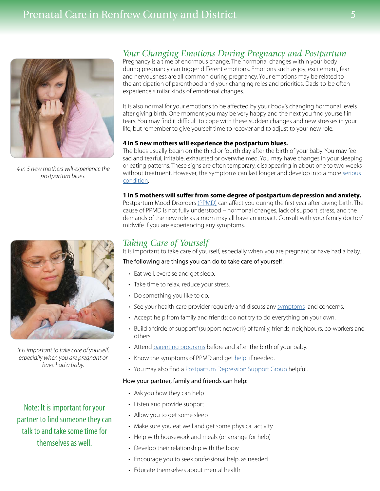# Prenatal Care in Renfrew County and District 5



*4 in 5 new mothers will experience the postpartum blues.* 

# *Your Changing Emotions During Pregnancy and Postpartum*

Pregnancy is a time of enormous change. The hormonal changes within your body during pregnancy can trigger different emotions. Emotions such as joy, excitement, fear and nervousness are all common during pregnancy. Your emotions may be related to the anticipation of parenthood and your changing roles and priorities. Dads-to-be often experience similar kinds of emotional changes.

It is also normal for your emotions to be affected by your body's changing hormonal levels after giving birth. One moment you may be very happy and the next you find yourself in tears. You may find it difficult to cope with these sudden changes and new stresses in your life, but remember to give yourself time to recover and to adjust to your new role.

## **4 in 5 new mothers will experience the postpartum blues.**

The blues usually begin on the third or fourth day after the birth of your baby. You may feel sad and tearful, irritable, exhausted or overwhelmed. You may have changes in your sleeping or eating patterns. These signs are often temporary, disappearing in about one to two weeks without treatment. However, the symptoms can last longer and develop into a more [serious](http://www.caringforkids.cps.ca/handouts/depression_in_pregnant_women_and_mothers)  [condition](http://www.caringforkids.cps.ca/handouts/depression_in_pregnant_women_and_mothers).

#### **1 in 5 mothers will suffer from some degree of postpartum depression and anxiety.**

Postpartum Mood Disorders [\(PPMD\)](www.beststart.org/resources/ppmd/DepressionWorkbookFinal_15APR30.pdf) can affect you during the first year after giving birth. The cause of PPMD is not fully understood – hormonal changes, lack of support, stress, and the demands of the new role as a mom may all have an impact. Consult with your family doctor/ midwife if you are experiencing any symptoms.

*It is important to take care of yourself, especially when you are pregnant or have had a baby.* 

# Note: It is important for your partner to find someone they can talk to and take some time for themselves as well.

# *Taking Care of Yourself*

It is important to take care of yourself, especially when you are pregnant or have had a baby.

## The following are things you can do to take care of yourself:

- Eat well, exercise and get sleep.
- Take time to relax, reduce your stress.
- Do something you like to do.
- See your health care provider regularly and discuss any [symptoms](www.beststart.org/resources/ppmd/ppmd_bro_eng_lr.pdf) and concerns.
- Accept help from family and friends; do not try to do everything on your own.
- Build a "circle of support" (support network) of family, friends, neighbours, co-workers and others.
- Attend [parenting programs](http://www.rcdhu.com/Pages/ChildHealth/babyhealth.html) before and after the birth of your baby.
- Know the symptoms of PPMD and get [help](http://www.mentalhealthhelpline.ca/) if needed.
- You may also find a **[Postpartum Depression Support Group](http://www.ppdsupportpage.com/) helpful**.

## How your partner, family and friends can help:

- Ask you how they can help
- Listen and provide support
- Allow you to get some sleep
- Make sure you eat well and get some physical activity
- Help with housework and meals (or arrange for help)
- Develop their relationship with the baby
- Encourage you to seek professional help, as needed
- Educate themselves about mental health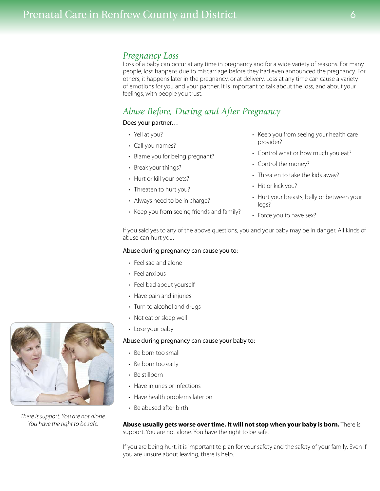# *Pregnancy Loss*

Loss of a baby can occur at any time in pregnancy and for a wide variety of reasons. For many people, loss happens due to miscarriage before they had even announced the pregnancy. For others, it happens later in the pregnancy, or at delivery. Loss at any time can cause a variety of emotions for you and your partner. It is important to talk about the loss, and about your feelings, with people you trust.

# *Abuse Before, During and After Pregnancy*

# Does your partner…

- Yell at you?
- Call you names?
- Blame you for being pregnant?
- Break your things?
- Hurt or kill your pets?
- Threaten to hurt you?
- Always need to be in charge?
- Keep you from seeing friends and family?
- Keep you from seeing your health care provider?
- Control what or how much you eat?
- Control the money?
- Threaten to take the kids away?
- Hit or kick you?
- Hurt your breasts, belly or between your legs?
- Force you to have sex?

If you said yes to any of the above questions, you and your baby may be in danger. All kinds of abuse can hurt you.

## Abuse during pregnancy can cause you to:

- Feel sad and alone
- Feel anxious
- Feel bad about yourself
- Have pain and injuries
- Turn to alcohol and drugs
- Not eat or sleep well
- Lose your baby

### Abuse during pregnancy can cause your baby to:

- Be born too small
- Be born too early
- Be stillborn
- Have injuries or infections
- Have health problems later on
- Be abused after birth

**Abuse usually gets worse over time. It will not stop when your baby is born.** There is support. You are not alone. You have the right to be safe.

If you are being hurt, it is important to plan for your safety and the safety of your family. Even if you are unsure about leaving, there is help.



*There is support. You are not alone. You have the right to be safe.*